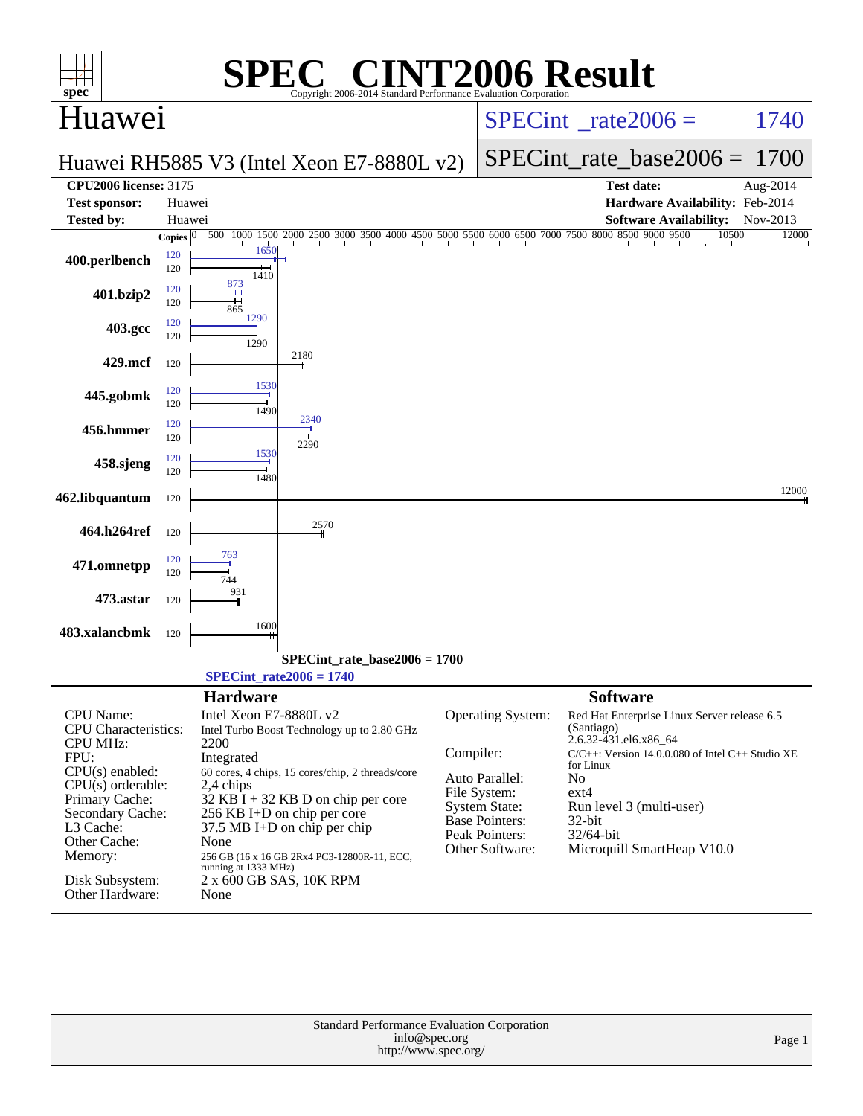| spec <sup>®</sup>                     |                                  | SPE)                                      | $\blacksquare$<br>Copyright 2006-2014 Standard Performance Evaluation Corporation             |               | <b>INT2006 Result</b>                   |                                     |                               |                                                       |        |
|---------------------------------------|----------------------------------|-------------------------------------------|-----------------------------------------------------------------------------------------------|---------------|-----------------------------------------|-------------------------------------|-------------------------------|-------------------------------------------------------|--------|
| Huawei                                |                                  |                                           |                                                                                               |               | $SPECint^{\circ}$ rate 2006 =           |                                     |                               | 1740                                                  |        |
|                                       |                                  |                                           | Huawei RH5885 V3 (Intel Xeon E7-8880L v2)                                                     |               | $SPECint_rate_base2006 =$               |                                     |                               | 1700                                                  |        |
| <b>CPU2006</b> license: 3175          |                                  |                                           |                                                                                               |               |                                         |                                     | <b>Test date:</b>             | Aug-2014                                              |        |
| <b>Test sponsor:</b>                  | Huawei                           |                                           |                                                                                               |               |                                         |                                     |                               | Hardware Availability: Feb-2014                       |        |
| <b>Tested by:</b>                     | Huawei                           |                                           |                                                                                               |               |                                         |                                     | <b>Software Availability:</b> | Nov-2013                                              |        |
| 400.perlbench                         | Copies $ 0\rangle$<br>120<br>120 | 1650<br>1410                              | 500 1000 1500 2000 2500 3000 3500 4000 4500 5000 5500 6000 6500 7000 7500 8000 8500 9000 9500 |               |                                         |                                     |                               | 10500                                                 | 12000  |
| 401.bzip2                             | 120<br>120                       | 873<br>865                                |                                                                                               |               |                                         |                                     |                               |                                                       |        |
| 403.gcc                               | 120<br>120                       | 1290<br>1290                              |                                                                                               |               |                                         |                                     |                               |                                                       |        |
| 429.mcf                               | 120                              | 1530                                      | 2180                                                                                          |               |                                         |                                     |                               |                                                       |        |
| 445.gobmk                             | 120<br>120<br>120                | 1490                                      | 2340                                                                                          |               |                                         |                                     |                               |                                                       |        |
| 456.hmmer<br>458.sjeng                | 120<br>120                       | 1530                                      | 2290                                                                                          |               |                                         |                                     |                               |                                                       |        |
| 462.libquantum                        | 120<br>120                       | 1480                                      |                                                                                               |               |                                         |                                     |                               |                                                       | 12000  |
| 464.h264ref                           | 120                              |                                           | 2570                                                                                          |               |                                         |                                     |                               |                                                       |        |
| 471.omnetpp                           | 120<br>120                       | 763                                       |                                                                                               |               |                                         |                                     |                               |                                                       |        |
| 473.astar                             | 120                              | 931                                       |                                                                                               |               |                                         |                                     |                               |                                                       |        |
| 483.xalancbmk                         | 120                              | 1600                                      |                                                                                               |               |                                         |                                     |                               |                                                       |        |
|                                       |                                  | $SPECint_rate2006 = 1740$                 | SPECint_rate_base2006 = 1700                                                                  |               |                                         |                                     |                               |                                                       |        |
| <b>CPU</b> Name:                      |                                  | <b>Hardware</b><br>Intel Xeon E7-8880L v2 |                                                                                               |               | Operating System:                       | <b>Software</b>                     |                               | Red Hat Enterprise Linux Server release 6.5           |        |
| <b>CPU</b> Characteristics:           |                                  |                                           | Intel Turbo Boost Technology up to 2.80 GHz                                                   |               |                                         | (Santiago)<br>2.6.32-431.el6.x86_64 |                               |                                                       |        |
| <b>CPU MHz:</b><br>FPU:               |                                  | 2200<br>Integrated                        |                                                                                               | Compiler:     |                                         |                                     |                               | $C/C++$ : Version 14.0.0.080 of Intel $C++$ Studio XE |        |
| $CPU(s)$ enabled:                     |                                  |                                           | 60 cores, 4 chips, 15 cores/chip, 2 threads/core                                              |               | Auto Parallel:                          | for Linux<br>No.                    |                               |                                                       |        |
| $CPU(s)$ orderable:<br>Primary Cache: |                                  | 2,4 chips                                 |                                                                                               |               | File System:                            | $ext{4}$                            |                               |                                                       |        |
| Secondary Cache:                      |                                  |                                           | $32$ KB I + 32 KB D on chip per core<br>256 KB I+D on chip per core                           |               | <b>System State:</b>                    |                                     | Run level 3 (multi-user)      |                                                       |        |
| L3 Cache:                             |                                  |                                           | $37.5 \text{ MB I+D}$ on chip per chip                                                        |               | <b>Base Pointers:</b><br>Peak Pointers: | $32$ -bit<br>32/64-bit              |                               |                                                       |        |
| Other Cache:                          |                                  | None                                      |                                                                                               |               | Other Software:                         |                                     | Microquill SmartHeap V10.0    |                                                       |        |
| Memory:                               |                                  | running at 1333 MHz)                      | 256 GB (16 x 16 GB 2Rx4 PC3-12800R-11, ECC,                                                   |               |                                         |                                     |                               |                                                       |        |
| Disk Subsystem:<br>Other Hardware:    |                                  | None                                      | 2 x 600 GB SAS, 10K RPM                                                                       |               |                                         |                                     |                               |                                                       |        |
|                                       |                                  |                                           |                                                                                               |               |                                         |                                     |                               |                                                       |        |
|                                       |                                  |                                           | Standard Performance Evaluation Corporation<br>http://www.spec.org/                           | info@spec.org |                                         |                                     |                               |                                                       | Page 1 |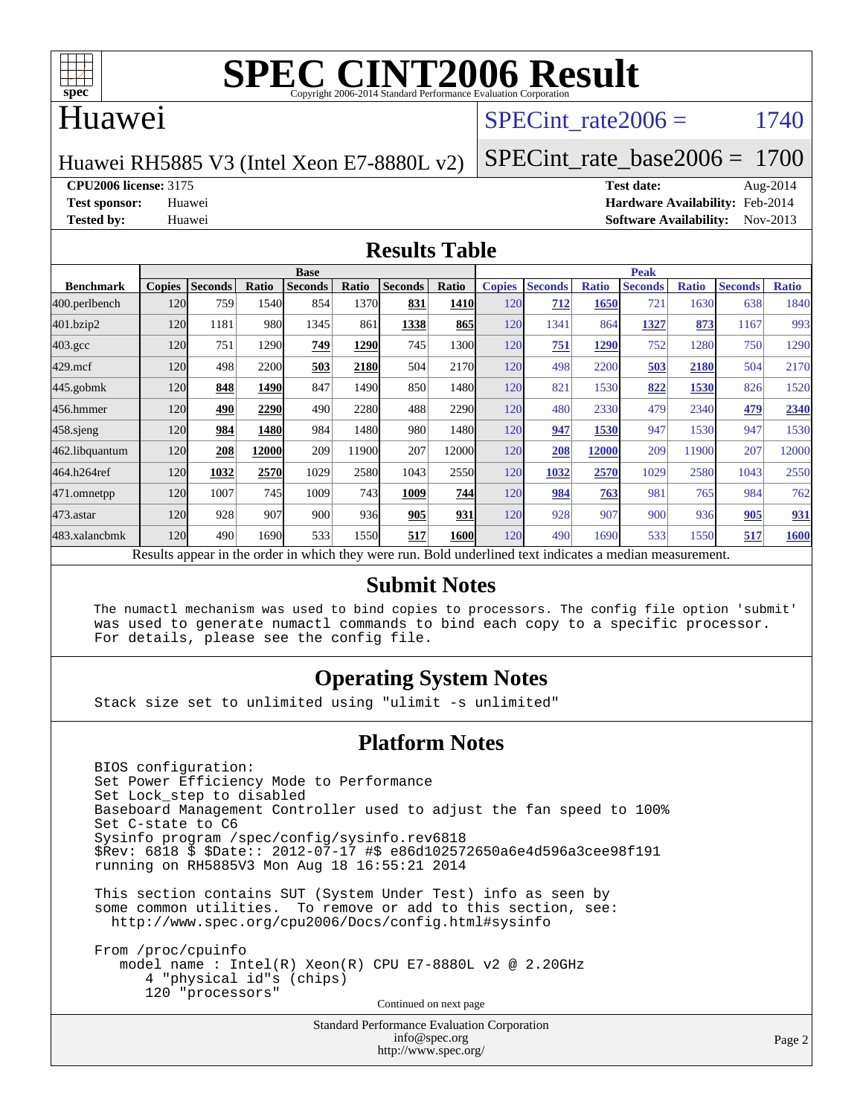

#### Huawei

#### SPECint rate $2006 = 1740$

Huawei RH5885 V3 (Intel Xeon E7-8880L v2)

[SPECint\\_rate\\_base2006 =](http://www.spec.org/auto/cpu2006/Docs/result-fields.html#SPECintratebase2006) 1700

**[CPU2006 license:](http://www.spec.org/auto/cpu2006/Docs/result-fields.html#CPU2006license)** 3175 **[Test date:](http://www.spec.org/auto/cpu2006/Docs/result-fields.html#Testdate)** Aug-2014

**[Test sponsor:](http://www.spec.org/auto/cpu2006/Docs/result-fields.html#Testsponsor)** Huawei **[Hardware Availability:](http://www.spec.org/auto/cpu2006/Docs/result-fields.html#HardwareAvailability)** Feb-2014 **[Tested by:](http://www.spec.org/auto/cpu2006/Docs/result-fields.html#Testedby)** Huawei **[Software Availability:](http://www.spec.org/auto/cpu2006/Docs/result-fields.html#SoftwareAvailability)** Nov-2013

#### **[Results Table](http://www.spec.org/auto/cpu2006/Docs/result-fields.html#ResultsTable)**

|                  |                                                                                                          |                |       | <b>Base</b>    |               |                |       |               |                |              | <b>Peak</b>    |              |                |              |
|------------------|----------------------------------------------------------------------------------------------------------|----------------|-------|----------------|---------------|----------------|-------|---------------|----------------|--------------|----------------|--------------|----------------|--------------|
| <b>Benchmark</b> | <b>Copies</b>                                                                                            | <b>Seconds</b> | Ratio | <b>Seconds</b> | Ratio         | <b>Seconds</b> | Ratio | <b>Copies</b> | <b>Seconds</b> | <b>Ratio</b> | <b>Seconds</b> | <b>Ratio</b> | <b>Seconds</b> | <b>Ratio</b> |
| 400.perlbench    | <b>120</b>                                                                                               | 759            | 1540  | 854            | 1370          | 831            | 1410  | 120           | 712            | 1650         | 721            | 1630         | 638            | 1840         |
| 401.bzip2        | 120                                                                                                      | 1181           | 980   | 1345           | 861           | 1338           | 865   | 120           | 1341           | 864          | 1327           | 873          | 1167           | 993          |
| $403.\text{gcc}$ | 120                                                                                                      | 751            | 1290  | 749            | 1290          | 745            | 1300  | 120           | <u>751</u>     | 1290         | 752            | 1280         | 750            | 1290         |
| $429$ .mcf       | 120                                                                                                      | 498            | 2200  | 503            | 2180          | 504            | 2170  | 120           | 498            | 2200         | 503            | 2180         | 504            | 2170         |
| $445$ .gobm $k$  | 120                                                                                                      | 848            | 1490  | 847            | 1490          | 850            | 1480  | 120           | 821            | 1530         | 822            | 1530         | 826            | 1520         |
| 456.hmmer        | 120                                                                                                      | 490            | 2290  | 490            | 2280          | 488            | 2290  | 120           | 480            | 2330         | 479            | 2340         | 479            | 2340         |
| $458$ .sjeng     | 120                                                                                                      | 984            | 1480  | 984            | 1480 <b>1</b> | 980            | 1480  | 120           | 947            | 1530         | 947            | 1530         | 947            | 1530         |
| 462.libquantum   | <b>120</b>                                                                                               | 208            | 12000 | 209            | 11900         | 207            | 12000 | 120           | 208            | 12000        | 209            | 11900        | 207            | 12000        |
| 464.h264ref      | 120                                                                                                      | 1032           | 2570  | 1029           | 2580          | 1043           | 2550  | 120           | 1032           | 2570         | 1029           | 2580         | 1043           | 2550         |
| 471.omnetpp      | 120                                                                                                      | 1007           | 745   | 1009           | 743           | 1009           | 744   | 120           | 984            | 763          | 981            | 765          | 984            | 762          |
| $473$ . astar    | 120                                                                                                      | 928            | 907   | 900            | 936           | 905            | 931   | 120           | 928            | 907          | 900            | 936          | 905            | 931          |
| 483.xalancbmk    | <b>120</b>                                                                                               | 490            | 1690  | 533            | 1550          | 517            | 1600  | 120           | 490            | 1690         | 533            | 1550         | 517            | 1600         |
|                  | Results appear in the order in which they were run. Bold underlined text indicates a median measurement. |                |       |                |               |                |       |               |                |              |                |              |                |              |

#### **[Submit Notes](http://www.spec.org/auto/cpu2006/Docs/result-fields.html#SubmitNotes)**

 The numactl mechanism was used to bind copies to processors. The config file option 'submit' was used to generate numactl commands to bind each copy to a specific processor. For details, please see the config file.

#### **[Operating System Notes](http://www.spec.org/auto/cpu2006/Docs/result-fields.html#OperatingSystemNotes)**

Stack size set to unlimited using "ulimit -s unlimited"

#### **[Platform Notes](http://www.spec.org/auto/cpu2006/Docs/result-fields.html#PlatformNotes)**

 BIOS configuration: Set Power Efficiency Mode to Performance Set Lock\_step to disabled Baseboard Management Controller used to adjust the fan speed to 100% Set C-state to C6 Sysinfo program /spec/config/sysinfo.rev6818 \$Rev: 6818 \$ \$Date:: 2012-07-17 #\$ e86d102572650a6e4d596a3cee98f191 running on RH5885V3 Mon Aug 18 16:55:21 2014 This section contains SUT (System Under Test) info as seen by some common utilities. To remove or add to this section, see: <http://www.spec.org/cpu2006/Docs/config.html#sysinfo>

 From /proc/cpuinfo model name : Intel(R) Xeon(R) CPU E7-8880L v2 @ 2.20GHz 4 "physical id"s (chips) 120 "processors" Continued on next page

> Standard Performance Evaluation Corporation [info@spec.org](mailto:info@spec.org) <http://www.spec.org/>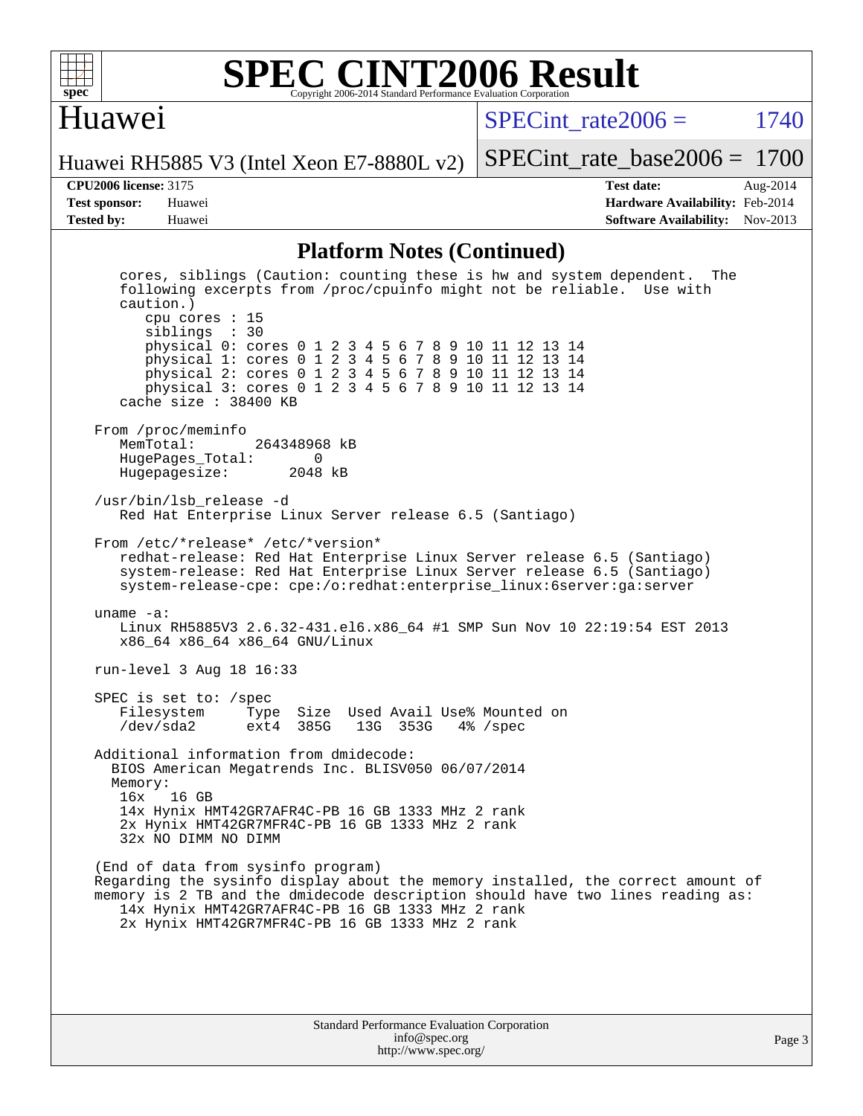

### Huawei

 $SPECTnt_rate2006 = 1740$ 

[SPECint\\_rate\\_base2006 =](http://www.spec.org/auto/cpu2006/Docs/result-fields.html#SPECintratebase2006) 1700

Huawei RH5885 V3 (Intel Xeon E7-8880L v2)

**[Tested by:](http://www.spec.org/auto/cpu2006/Docs/result-fields.html#Testedby)** Huawei **[Software Availability:](http://www.spec.org/auto/cpu2006/Docs/result-fields.html#SoftwareAvailability)** Nov-2013

**[CPU2006 license:](http://www.spec.org/auto/cpu2006/Docs/result-fields.html#CPU2006license)** 3175 **[Test date:](http://www.spec.org/auto/cpu2006/Docs/result-fields.html#Testdate)** Aug-2014 **[Test sponsor:](http://www.spec.org/auto/cpu2006/Docs/result-fields.html#Testsponsor)** Huawei **[Hardware Availability:](http://www.spec.org/auto/cpu2006/Docs/result-fields.html#HardwareAvailability)** Feb-2014

#### **[Platform Notes \(Continued\)](http://www.spec.org/auto/cpu2006/Docs/result-fields.html#PlatformNotes)**

| cores, siblings (Caution: counting these is hw and system dependent.<br>The<br>following excerpts from /proc/cpuinfo might not be reliable. Use with<br>$caution.$ )<br>cpu cores : 15<br>siblings : 30<br>physical 0: cores 0 1 2 3 4 5 6 7 8 9 10 11 12 13 14<br>physical 1: cores 0 1 2 3 4 5 6 7 8 9 10 11 12 13 14<br>physical 2: cores 0 1 2 3 4 5 6 7 8 9 10 11 12 13 14<br>physical 3: cores 0 1 2 3 4 5 6 7 8 9 10 11 12 13 14<br>cache size $: 38400$ KB |
|--------------------------------------------------------------------------------------------------------------------------------------------------------------------------------------------------------------------------------------------------------------------------------------------------------------------------------------------------------------------------------------------------------------------------------------------------------------------|
| From /proc/meminfo<br>MemTotal:<br>264348968 kB<br>HugePages_Total: 0<br>Hugepagesize: 2048 kB                                                                                                                                                                                                                                                                                                                                                                     |
| /usr/bin/lsb_release -d<br>Red Hat Enterprise Linux Server release 6.5 (Santiago)                                                                                                                                                                                                                                                                                                                                                                                  |
| From /etc/*release* /etc/*version*<br>redhat-release: Red Hat Enterprise Linux Server release 6.5 (Santiago)<br>system-release: Red Hat Enterprise Linux Server release 6.5 (Santiago)<br>system-release-cpe: cpe:/o:redhat:enterprise_linux:6server:ga:server                                                                                                                                                                                                     |
| uname $-a$ :<br>Linux RH5885V3 2.6.32-431.el6.x86_64 #1 SMP Sun Nov 10 22:19:54 EST 2013<br>x86_64 x86_64 x86_64 GNU/Linux                                                                                                                                                                                                                                                                                                                                         |
| run-level 3 Aug 18 16:33                                                                                                                                                                                                                                                                                                                                                                                                                                           |
| SPEC is set to: $/$ spec<br>Filesystem<br>Type Size Used Avail Use% Mounted on<br>/dev/sda2<br>ext4 385G 13G 353G<br>$4\%$ /spec                                                                                                                                                                                                                                                                                                                                   |
| Additional information from dmidecode:<br>BIOS American Megatrends Inc. BLISV050 06/07/2014<br>Memory:<br>16 GB<br>16x<br>14x Hynix HMT42GR7AFR4C-PB 16 GB 1333 MHz 2 rank<br>2x Hynix HMT42GR7MFR4C-PB 16 GB 1333 MHz 2 rank<br>32x NO DIMM NO DIMM                                                                                                                                                                                                               |
| (End of data from sysinfo program)<br>Regarding the sysinfo display about the memory installed, the correct amount of<br>memory is 2 TB and the dmidecode description should have two lines reading as:<br>14x Hynix HMT42GR7AFR4C-PB 16 GB 1333 MHz 2 rank<br>2x Hynix HMT42GR7MFR4C-PB 16 GB 1333 MHz 2 rank                                                                                                                                                     |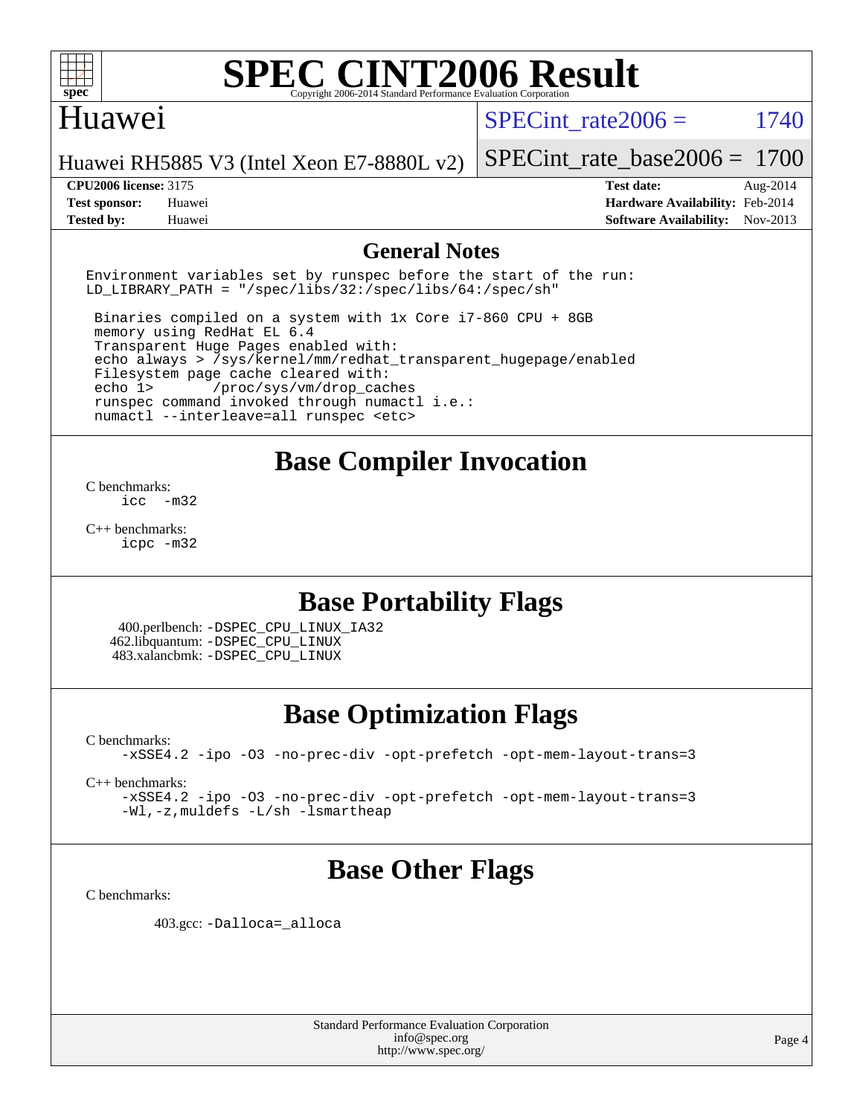

#### Huawei

SPECint rate $2006 = 1740$ 

Huawei RH5885 V3 (Intel Xeon E7-8880L v2)

[SPECint\\_rate\\_base2006 =](http://www.spec.org/auto/cpu2006/Docs/result-fields.html#SPECintratebase2006) 1700

**[CPU2006 license:](http://www.spec.org/auto/cpu2006/Docs/result-fields.html#CPU2006license)** 3175 **[Test date:](http://www.spec.org/auto/cpu2006/Docs/result-fields.html#Testdate)** Aug-2014 **[Test sponsor:](http://www.spec.org/auto/cpu2006/Docs/result-fields.html#Testsponsor)** Huawei **[Hardware Availability:](http://www.spec.org/auto/cpu2006/Docs/result-fields.html#HardwareAvailability)** Feb-2014 **[Tested by:](http://www.spec.org/auto/cpu2006/Docs/result-fields.html#Testedby)** Huawei **[Software Availability:](http://www.spec.org/auto/cpu2006/Docs/result-fields.html#SoftwareAvailability)** Nov-2013

#### **[General Notes](http://www.spec.org/auto/cpu2006/Docs/result-fields.html#GeneralNotes)**

Environment variables set by runspec before the start of the run: LD LIBRARY PATH = "/spec/libs/32:/spec/libs/64:/spec/sh"

 Binaries compiled on a system with 1x Core i7-860 CPU + 8GB memory using RedHat EL 6.4 Transparent Huge Pages enabled with: echo always > /sys/kernel/mm/redhat\_transparent\_hugepage/enabled Filesystem page cache cleared with: echo 1> /proc/sys/vm/drop\_caches runspec command invoked through numactl i.e.: numactl --interleave=all runspec <etc>

### **[Base Compiler Invocation](http://www.spec.org/auto/cpu2006/Docs/result-fields.html#BaseCompilerInvocation)**

[C benchmarks](http://www.spec.org/auto/cpu2006/Docs/result-fields.html#Cbenchmarks):  $inc -m32$ 

[C++ benchmarks:](http://www.spec.org/auto/cpu2006/Docs/result-fields.html#CXXbenchmarks) [icpc -m32](http://www.spec.org/cpu2006/results/res2014q3/cpu2006-20140825-31015.flags.html#user_CXXbase_intel_icpc_4e5a5ef1a53fd332b3c49e69c3330699)

### **[Base Portability Flags](http://www.spec.org/auto/cpu2006/Docs/result-fields.html#BasePortabilityFlags)**

 400.perlbench: [-DSPEC\\_CPU\\_LINUX\\_IA32](http://www.spec.org/cpu2006/results/res2014q3/cpu2006-20140825-31015.flags.html#b400.perlbench_baseCPORTABILITY_DSPEC_CPU_LINUX_IA32) 462.libquantum: [-DSPEC\\_CPU\\_LINUX](http://www.spec.org/cpu2006/results/res2014q3/cpu2006-20140825-31015.flags.html#b462.libquantum_baseCPORTABILITY_DSPEC_CPU_LINUX) 483.xalancbmk: [-DSPEC\\_CPU\\_LINUX](http://www.spec.org/cpu2006/results/res2014q3/cpu2006-20140825-31015.flags.html#b483.xalancbmk_baseCXXPORTABILITY_DSPEC_CPU_LINUX)

### **[Base Optimization Flags](http://www.spec.org/auto/cpu2006/Docs/result-fields.html#BaseOptimizationFlags)**

[C benchmarks](http://www.spec.org/auto/cpu2006/Docs/result-fields.html#Cbenchmarks): [-xSSE4.2](http://www.spec.org/cpu2006/results/res2014q3/cpu2006-20140825-31015.flags.html#user_CCbase_f-xSSE42_f91528193cf0b216347adb8b939d4107) [-ipo](http://www.spec.org/cpu2006/results/res2014q3/cpu2006-20140825-31015.flags.html#user_CCbase_f-ipo) [-O3](http://www.spec.org/cpu2006/results/res2014q3/cpu2006-20140825-31015.flags.html#user_CCbase_f-O3) [-no-prec-div](http://www.spec.org/cpu2006/results/res2014q3/cpu2006-20140825-31015.flags.html#user_CCbase_f-no-prec-div) [-opt-prefetch](http://www.spec.org/cpu2006/results/res2014q3/cpu2006-20140825-31015.flags.html#user_CCbase_f-opt-prefetch) [-opt-mem-layout-trans=3](http://www.spec.org/cpu2006/results/res2014q3/cpu2006-20140825-31015.flags.html#user_CCbase_f-opt-mem-layout-trans_a7b82ad4bd7abf52556d4961a2ae94d5)

[C++ benchmarks:](http://www.spec.org/auto/cpu2006/Docs/result-fields.html#CXXbenchmarks)

[-xSSE4.2](http://www.spec.org/cpu2006/results/res2014q3/cpu2006-20140825-31015.flags.html#user_CXXbase_f-xSSE42_f91528193cf0b216347adb8b939d4107) [-ipo](http://www.spec.org/cpu2006/results/res2014q3/cpu2006-20140825-31015.flags.html#user_CXXbase_f-ipo) [-O3](http://www.spec.org/cpu2006/results/res2014q3/cpu2006-20140825-31015.flags.html#user_CXXbase_f-O3) [-no-prec-div](http://www.spec.org/cpu2006/results/res2014q3/cpu2006-20140825-31015.flags.html#user_CXXbase_f-no-prec-div) [-opt-prefetch](http://www.spec.org/cpu2006/results/res2014q3/cpu2006-20140825-31015.flags.html#user_CXXbase_f-opt-prefetch) [-opt-mem-layout-trans=3](http://www.spec.org/cpu2006/results/res2014q3/cpu2006-20140825-31015.flags.html#user_CXXbase_f-opt-mem-layout-trans_a7b82ad4bd7abf52556d4961a2ae94d5) [-Wl,-z,muldefs](http://www.spec.org/cpu2006/results/res2014q3/cpu2006-20140825-31015.flags.html#user_CXXbase_link_force_multiple1_74079c344b956b9658436fd1b6dd3a8a) [-L/sh -lsmartheap](http://www.spec.org/cpu2006/results/res2014q3/cpu2006-20140825-31015.flags.html#user_CXXbase_SmartHeap_32f6c82aa1ed9c52345d30cf6e4a0499)

### **[Base Other Flags](http://www.spec.org/auto/cpu2006/Docs/result-fields.html#BaseOtherFlags)**

[C benchmarks](http://www.spec.org/auto/cpu2006/Docs/result-fields.html#Cbenchmarks):

403.gcc: [-Dalloca=\\_alloca](http://www.spec.org/cpu2006/results/res2014q3/cpu2006-20140825-31015.flags.html#b403.gcc_baseEXTRA_CFLAGS_Dalloca_be3056838c12de2578596ca5467af7f3)

Standard Performance Evaluation Corporation [info@spec.org](mailto:info@spec.org) <http://www.spec.org/>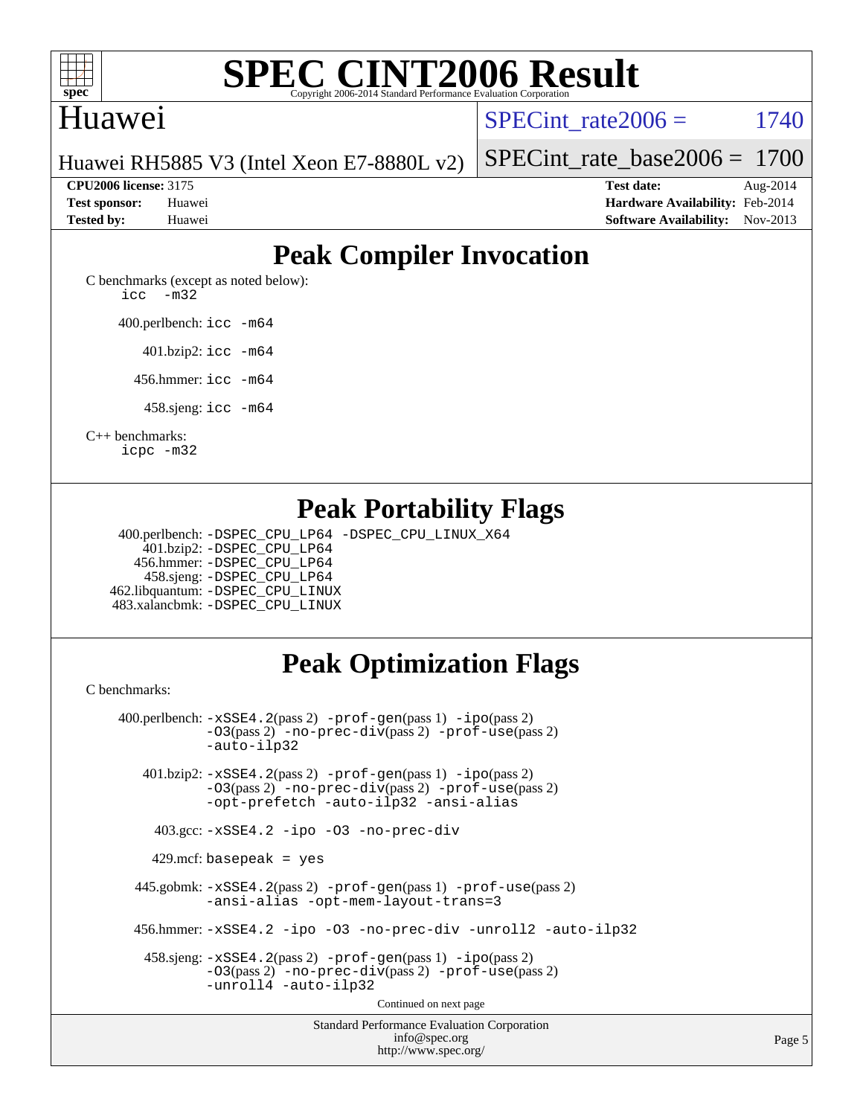

#### Huawei

SPECint rate $2006 = 1740$ 

Page 5

Huawei RH5885 V3 (Intel Xeon E7-8880L v2)

**[CPU2006 license:](http://www.spec.org/auto/cpu2006/Docs/result-fields.html#CPU2006license)** 3175 **[Test date:](http://www.spec.org/auto/cpu2006/Docs/result-fields.html#Testdate)** Aug-2014

[SPECint\\_rate\\_base2006 =](http://www.spec.org/auto/cpu2006/Docs/result-fields.html#SPECintratebase2006) 1700

**[Test sponsor:](http://www.spec.org/auto/cpu2006/Docs/result-fields.html#Testsponsor)** Huawei **[Hardware Availability:](http://www.spec.org/auto/cpu2006/Docs/result-fields.html#HardwareAvailability)** Feb-2014 **[Tested by:](http://www.spec.org/auto/cpu2006/Docs/result-fields.html#Testedby)** Huawei **[Software Availability:](http://www.spec.org/auto/cpu2006/Docs/result-fields.html#SoftwareAvailability)** Nov-2013

### **[Peak Compiler Invocation](http://www.spec.org/auto/cpu2006/Docs/result-fields.html#PeakCompilerInvocation)**

[C benchmarks \(except as noted below\)](http://www.spec.org/auto/cpu2006/Docs/result-fields.html#Cbenchmarksexceptasnotedbelow): [icc -m32](http://www.spec.org/cpu2006/results/res2014q3/cpu2006-20140825-31015.flags.html#user_CCpeak_intel_icc_5ff4a39e364c98233615fdd38438c6f2)

400.perlbench: [icc -m64](http://www.spec.org/cpu2006/results/res2014q3/cpu2006-20140825-31015.flags.html#user_peakCCLD400_perlbench_intel_icc_64bit_bda6cc9af1fdbb0edc3795bac97ada53)

401.bzip2: [icc -m64](http://www.spec.org/cpu2006/results/res2014q3/cpu2006-20140825-31015.flags.html#user_peakCCLD401_bzip2_intel_icc_64bit_bda6cc9af1fdbb0edc3795bac97ada53)

456.hmmer: [icc -m64](http://www.spec.org/cpu2006/results/res2014q3/cpu2006-20140825-31015.flags.html#user_peakCCLD456_hmmer_intel_icc_64bit_bda6cc9af1fdbb0edc3795bac97ada53)

458.sjeng: [icc -m64](http://www.spec.org/cpu2006/results/res2014q3/cpu2006-20140825-31015.flags.html#user_peakCCLD458_sjeng_intel_icc_64bit_bda6cc9af1fdbb0edc3795bac97ada53)

[C++ benchmarks:](http://www.spec.org/auto/cpu2006/Docs/result-fields.html#CXXbenchmarks)

[icpc -m32](http://www.spec.org/cpu2006/results/res2014q3/cpu2006-20140825-31015.flags.html#user_CXXpeak_intel_icpc_4e5a5ef1a53fd332b3c49e69c3330699)

#### **[Peak Portability Flags](http://www.spec.org/auto/cpu2006/Docs/result-fields.html#PeakPortabilityFlags)**

 400.perlbench: [-DSPEC\\_CPU\\_LP64](http://www.spec.org/cpu2006/results/res2014q3/cpu2006-20140825-31015.flags.html#b400.perlbench_peakCPORTABILITY_DSPEC_CPU_LP64) [-DSPEC\\_CPU\\_LINUX\\_X64](http://www.spec.org/cpu2006/results/res2014q3/cpu2006-20140825-31015.flags.html#b400.perlbench_peakCPORTABILITY_DSPEC_CPU_LINUX_X64) 401.bzip2: [-DSPEC\\_CPU\\_LP64](http://www.spec.org/cpu2006/results/res2014q3/cpu2006-20140825-31015.flags.html#suite_peakCPORTABILITY401_bzip2_DSPEC_CPU_LP64) 456.hmmer: [-DSPEC\\_CPU\\_LP64](http://www.spec.org/cpu2006/results/res2014q3/cpu2006-20140825-31015.flags.html#suite_peakCPORTABILITY456_hmmer_DSPEC_CPU_LP64) 458.sjeng: [-DSPEC\\_CPU\\_LP64](http://www.spec.org/cpu2006/results/res2014q3/cpu2006-20140825-31015.flags.html#suite_peakCPORTABILITY458_sjeng_DSPEC_CPU_LP64) 462.libquantum: [-DSPEC\\_CPU\\_LINUX](http://www.spec.org/cpu2006/results/res2014q3/cpu2006-20140825-31015.flags.html#b462.libquantum_peakCPORTABILITY_DSPEC_CPU_LINUX) 483.xalancbmk: [-DSPEC\\_CPU\\_LINUX](http://www.spec.org/cpu2006/results/res2014q3/cpu2006-20140825-31015.flags.html#b483.xalancbmk_peakCXXPORTABILITY_DSPEC_CPU_LINUX)

### **[Peak Optimization Flags](http://www.spec.org/auto/cpu2006/Docs/result-fields.html#PeakOptimizationFlags)**

<http://www.spec.org/>

[C benchmarks](http://www.spec.org/auto/cpu2006/Docs/result-fields.html#Cbenchmarks):

Standard Performance Evaluation Corporation [info@spec.org](mailto:info@spec.org) 400.perlbench: [-xSSE4.2](http://www.spec.org/cpu2006/results/res2014q3/cpu2006-20140825-31015.flags.html#user_peakPASS2_CFLAGSPASS2_LDCFLAGS400_perlbench_f-xSSE42_f91528193cf0b216347adb8b939d4107)(pass 2) [-prof-gen](http://www.spec.org/cpu2006/results/res2014q3/cpu2006-20140825-31015.flags.html#user_peakPASS1_CFLAGSPASS1_LDCFLAGS400_perlbench_prof_gen_e43856698f6ca7b7e442dfd80e94a8fc)(pass 1) [-ipo](http://www.spec.org/cpu2006/results/res2014q3/cpu2006-20140825-31015.flags.html#user_peakPASS2_CFLAGSPASS2_LDCFLAGS400_perlbench_f-ipo)(pass 2) [-O3](http://www.spec.org/cpu2006/results/res2014q3/cpu2006-20140825-31015.flags.html#user_peakPASS2_CFLAGSPASS2_LDCFLAGS400_perlbench_f-O3)(pass 2) [-no-prec-div](http://www.spec.org/cpu2006/results/res2014q3/cpu2006-20140825-31015.flags.html#user_peakPASS2_CFLAGSPASS2_LDCFLAGS400_perlbench_f-no-prec-div)(pass 2) [-prof-use](http://www.spec.org/cpu2006/results/res2014q3/cpu2006-20140825-31015.flags.html#user_peakPASS2_CFLAGSPASS2_LDCFLAGS400_perlbench_prof_use_bccf7792157ff70d64e32fe3e1250b55)(pass 2) [-auto-ilp32](http://www.spec.org/cpu2006/results/res2014q3/cpu2006-20140825-31015.flags.html#user_peakCOPTIMIZE400_perlbench_f-auto-ilp32) 401.bzip2: [-xSSE4.2](http://www.spec.org/cpu2006/results/res2014q3/cpu2006-20140825-31015.flags.html#user_peakPASS2_CFLAGSPASS2_LDCFLAGS401_bzip2_f-xSSE42_f91528193cf0b216347adb8b939d4107)(pass 2) [-prof-gen](http://www.spec.org/cpu2006/results/res2014q3/cpu2006-20140825-31015.flags.html#user_peakPASS1_CFLAGSPASS1_LDCFLAGS401_bzip2_prof_gen_e43856698f6ca7b7e442dfd80e94a8fc)(pass 1) [-ipo](http://www.spec.org/cpu2006/results/res2014q3/cpu2006-20140825-31015.flags.html#user_peakPASS2_CFLAGSPASS2_LDCFLAGS401_bzip2_f-ipo)(pass 2) [-O3](http://www.spec.org/cpu2006/results/res2014q3/cpu2006-20140825-31015.flags.html#user_peakPASS2_CFLAGSPASS2_LDCFLAGS401_bzip2_f-O3)(pass 2) [-no-prec-div](http://www.spec.org/cpu2006/results/res2014q3/cpu2006-20140825-31015.flags.html#user_peakPASS2_CFLAGSPASS2_LDCFLAGS401_bzip2_f-no-prec-div)(pass 2) [-prof-use](http://www.spec.org/cpu2006/results/res2014q3/cpu2006-20140825-31015.flags.html#user_peakPASS2_CFLAGSPASS2_LDCFLAGS401_bzip2_prof_use_bccf7792157ff70d64e32fe3e1250b55)(pass 2) [-opt-prefetch](http://www.spec.org/cpu2006/results/res2014q3/cpu2006-20140825-31015.flags.html#user_peakCOPTIMIZE401_bzip2_f-opt-prefetch) [-auto-ilp32](http://www.spec.org/cpu2006/results/res2014q3/cpu2006-20140825-31015.flags.html#user_peakCOPTIMIZE401_bzip2_f-auto-ilp32) [-ansi-alias](http://www.spec.org/cpu2006/results/res2014q3/cpu2006-20140825-31015.flags.html#user_peakCOPTIMIZE401_bzip2_f-ansi-alias) 403.gcc: [-xSSE4.2](http://www.spec.org/cpu2006/results/res2014q3/cpu2006-20140825-31015.flags.html#user_peakCOPTIMIZE403_gcc_f-xSSE42_f91528193cf0b216347adb8b939d4107) [-ipo](http://www.spec.org/cpu2006/results/res2014q3/cpu2006-20140825-31015.flags.html#user_peakCOPTIMIZE403_gcc_f-ipo) [-O3](http://www.spec.org/cpu2006/results/res2014q3/cpu2006-20140825-31015.flags.html#user_peakCOPTIMIZE403_gcc_f-O3) [-no-prec-div](http://www.spec.org/cpu2006/results/res2014q3/cpu2006-20140825-31015.flags.html#user_peakCOPTIMIZE403_gcc_f-no-prec-div) 429.mcf: basepeak = yes 445.gobmk: [-xSSE4.2](http://www.spec.org/cpu2006/results/res2014q3/cpu2006-20140825-31015.flags.html#user_peakPASS2_CFLAGSPASS2_LDCFLAGS445_gobmk_f-xSSE42_f91528193cf0b216347adb8b939d4107)(pass 2) [-prof-gen](http://www.spec.org/cpu2006/results/res2014q3/cpu2006-20140825-31015.flags.html#user_peakPASS1_CFLAGSPASS1_LDCFLAGS445_gobmk_prof_gen_e43856698f6ca7b7e442dfd80e94a8fc)(pass 1) [-prof-use](http://www.spec.org/cpu2006/results/res2014q3/cpu2006-20140825-31015.flags.html#user_peakPASS2_CFLAGSPASS2_LDCFLAGS445_gobmk_prof_use_bccf7792157ff70d64e32fe3e1250b55)(pass 2) [-ansi-alias](http://www.spec.org/cpu2006/results/res2014q3/cpu2006-20140825-31015.flags.html#user_peakCOPTIMIZE445_gobmk_f-ansi-alias) [-opt-mem-layout-trans=3](http://www.spec.org/cpu2006/results/res2014q3/cpu2006-20140825-31015.flags.html#user_peakCOPTIMIZE445_gobmk_f-opt-mem-layout-trans_a7b82ad4bd7abf52556d4961a2ae94d5) 456.hmmer: [-xSSE4.2](http://www.spec.org/cpu2006/results/res2014q3/cpu2006-20140825-31015.flags.html#user_peakCOPTIMIZE456_hmmer_f-xSSE42_f91528193cf0b216347adb8b939d4107) [-ipo](http://www.spec.org/cpu2006/results/res2014q3/cpu2006-20140825-31015.flags.html#user_peakCOPTIMIZE456_hmmer_f-ipo) [-O3](http://www.spec.org/cpu2006/results/res2014q3/cpu2006-20140825-31015.flags.html#user_peakCOPTIMIZE456_hmmer_f-O3) [-no-prec-div](http://www.spec.org/cpu2006/results/res2014q3/cpu2006-20140825-31015.flags.html#user_peakCOPTIMIZE456_hmmer_f-no-prec-div) [-unroll2](http://www.spec.org/cpu2006/results/res2014q3/cpu2006-20140825-31015.flags.html#user_peakCOPTIMIZE456_hmmer_f-unroll_784dae83bebfb236979b41d2422d7ec2) [-auto-ilp32](http://www.spec.org/cpu2006/results/res2014q3/cpu2006-20140825-31015.flags.html#user_peakCOPTIMIZE456_hmmer_f-auto-ilp32) 458.sjeng: [-xSSE4.2](http://www.spec.org/cpu2006/results/res2014q3/cpu2006-20140825-31015.flags.html#user_peakPASS2_CFLAGSPASS2_LDCFLAGS458_sjeng_f-xSSE42_f91528193cf0b216347adb8b939d4107)(pass 2) [-prof-gen](http://www.spec.org/cpu2006/results/res2014q3/cpu2006-20140825-31015.flags.html#user_peakPASS1_CFLAGSPASS1_LDCFLAGS458_sjeng_prof_gen_e43856698f6ca7b7e442dfd80e94a8fc)(pass 1) [-ipo](http://www.spec.org/cpu2006/results/res2014q3/cpu2006-20140825-31015.flags.html#user_peakPASS2_CFLAGSPASS2_LDCFLAGS458_sjeng_f-ipo)(pass 2) [-O3](http://www.spec.org/cpu2006/results/res2014q3/cpu2006-20140825-31015.flags.html#user_peakPASS2_CFLAGSPASS2_LDCFLAGS458_sjeng_f-O3)(pass 2) [-no-prec-div](http://www.spec.org/cpu2006/results/res2014q3/cpu2006-20140825-31015.flags.html#user_peakPASS2_CFLAGSPASS2_LDCFLAGS458_sjeng_f-no-prec-div)(pass 2) [-prof-use](http://www.spec.org/cpu2006/results/res2014q3/cpu2006-20140825-31015.flags.html#user_peakPASS2_CFLAGSPASS2_LDCFLAGS458_sjeng_prof_use_bccf7792157ff70d64e32fe3e1250b55)(pass 2) [-unroll4](http://www.spec.org/cpu2006/results/res2014q3/cpu2006-20140825-31015.flags.html#user_peakCOPTIMIZE458_sjeng_f-unroll_4e5e4ed65b7fd20bdcd365bec371b81f) [-auto-ilp32](http://www.spec.org/cpu2006/results/res2014q3/cpu2006-20140825-31015.flags.html#user_peakCOPTIMIZE458_sjeng_f-auto-ilp32) Continued on next page